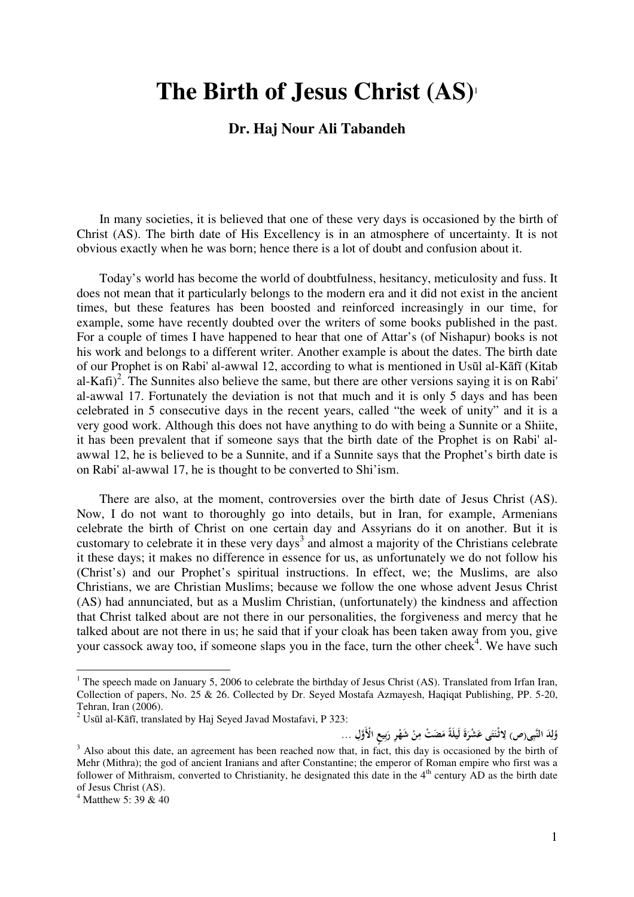## **The Birth of Jesus Christ (AS)**<sup>1</sup>

## **Dr. Haj Nour Ali Tabandeh**

In many societies, it is believed that one of these very days is occasioned by the birth of Christ (AS). The birth date of His Excellency is in an atmosphere of uncertainty. It is not obvious exactly when he was born; hence there is a lot of doubt and confusion about it.

Today's world has become the world of doubtfulness, hesitancy, meticulosity and fuss. It does not mean that it particularly belongs to the modern era and it did not exist in the ancient times, but these features has been boosted and reinforced increasingly in our time, for example, some have recently doubted over the writers of some books published in the past. For a couple of times I have happened to hear that one of Attar's (of Nishapur) books is not his work and belongs to a different writer. Another example is about the dates. The birth date of our Prophet is on Rabi' al-awwal 12, according to what is mentioned in Usūl al-Kāfī (Kitab al-Kafi)<sup>2</sup>. The Sunnites also believe the same, but there are other versions saying it is on Rabi' al-awwal 17. Fortunately the deviation is not that much and it is only 5 days and has been celebrated in 5 consecutive days in the recent years, called "the week of unity" and it is a very good work. Although this does not have anything to do with being a Sunnite or a Shiite, it has been prevalent that if someone says that the birth date of the Prophet is on Rabi' alawwal 12, he is believed to be a Sunnite, and if a Sunnite says that the Prophet's birth date is on Rabi' al-awwal 17, he is thought to be converted to Shi'ism.

There are also, at the moment, controversies over the birth date of Jesus Christ (AS). Now, I do not want to thoroughly go into details, but in Iran, for example, Armenians celebrate the birth of Christ on one certain day and Assyrians do it on another. But it is customary to celebrate it in these very days<sup>3</sup> and almost a majority of the Christians celebrate it these days; it makes no difference in essence for us, as unfortunately we do not follow his (Christ's) and our Prophet's spiritual instructions. In effect, we; the Muslims, are also Christians, we are Christian Muslims; because we follow the one whose advent Jesus Christ (AS) had annunciated, but as a Muslim Christian, (unfortunately) the kindness and affection that Christ talked about are not there in our personalities, the forgiveness and mercy that he talked about are not there in us; he said that if your cloak has been taken away from you, give your cassock away too, if someone slaps you in the face, turn the other cheek $4$ . We have such

وُلِدَ النَّبِى(ص) لِاثْنَتَى عَشْرَةَ لَيلَةً مَصَتْ مِنْ شَهْرِ رَبِيعِ الْأَوَّلِ … **ِ ل َ َ ِ ْ ِ ْ بِ َ**

<sup>&</sup>lt;sup>1</sup> The speech made on January 5, 2006 to celebrate the birthday of Jesus Christ (AS). Translated from Irfan Iran, Collection of papers, No. 25 & 26. Collected by Dr. Seyed Mostafa Azmayesh, Haqiqat Publishing, PP. 5-20, Tehran, Iran (2006).

 $2$  Usūl al-Kāfī, translated by Haj Seyed Javad Mostafavi, P 323:

 $3$  Also about this date, an agreement has been reached now that, in fact, this day is occasioned by the birth of Mehr (Mithra); the god of ancient Iranians and after Constantine; the emperor of Roman empire who first was a follower of Mithraism, converted to Christianity, he designated this date in the 4<sup>th</sup> century AD as the birth date of Jesus Christ (AS).

<sup>4</sup> Matthew 5: 39 & 40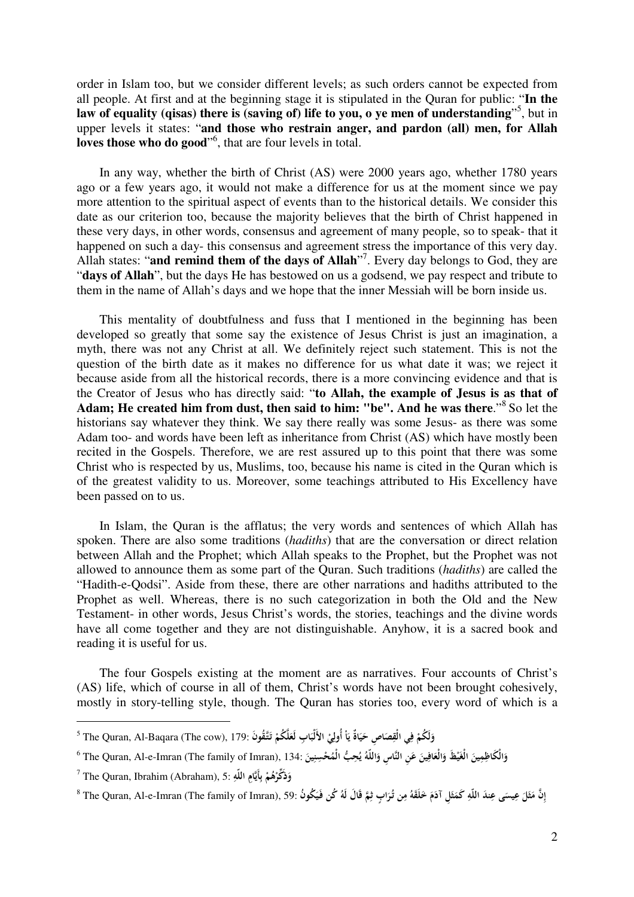order in Islam too, but we consider different levels; as such orders cannot be expected from all people. At first and at the beginning stage it is stipulated in the Quran for public: "**In the**  law of equality (qisas) there is (saving of) life to you, o ye men of understanding"<sup>5</sup>, but in upper levels it states: "**and those who restrain anger, and pardon (all) men, for Allah**  loves those who do good<sup>"6</sup>, that are four levels in total.

In any way, whether the birth of Christ (AS) were 2000 years ago, whether 1780 years ago or a few years ago, it would not make a difference for us at the moment since we pay more attention to the spiritual aspect of events than to the historical details. We consider this date as our criterion too, because the majority believes that the birth of Christ happened in these very days, in other words, consensus and agreement of many people, so to speak- that it happened on such a day- this consensus and agreement stress the importance of this very day. Allah states: "and remind them of the days of Allah"<sup>7</sup>. Every day belongs to God, they are "**days of Allah**", but the days He has bestowed on us a godsend, we pay respect and tribute to them in the name of Allah's days and we hope that the inner Messiah will be born inside us.

This mentality of doubtfulness and fuss that I mentioned in the beginning has been developed so greatly that some say the existence of Jesus Christ is just an imagination, a myth, there was not any Christ at all. We definitely reject such statement. This is not the question of the birth date as it makes no difference for us what date it was; we reject it because aside from all the historical records, there is a more convincing evidence and that is the Creator of Jesus who has directly said: "**to Allah, the example of Jesus is as that of**  Adam; He created him from dust, then said to him: "be". And he was there."<sup>8</sup> So let the historians say whatever they think. We say there really was some Jesus- as there was some Adam too- and words have been left as inheritance from Christ (AS) which have mostly been recited in the Gospels. Therefore, we are rest assured up to this point that there was some Christ who is respected by us, Muslims, too, because his name is cited in the Quran which is of the greatest validity to us. Moreover, some teachings attributed to His Excellency have been passed on to us.

In Islam, the Quran is the afflatus; the very words and sentences of which Allah has spoken. There are also some traditions (*hadiths*) that are the conversation or direct relation between Allah and the Prophet; which Allah speaks to the Prophet, but the Prophet was not allowed to announce them as some part of the Quran. Such traditions (*hadiths*) are called the "Hadith-e-Qodsi". Aside from these, there are other narrations and hadiths attributed to the Prophet as well. Whereas, there is no such categorization in both the Old and the New Testament- in other words, Jesus Christ's words, the stories, teachings and the divine words have all come together and they are not distinguishable. Anyhow, it is a sacred book and reading it is useful for us.

The four Gospels existing at the moment are as narratives. Four accounts of Christ's (AS) life, which of course in all of them, Christ's words have not been brought cohesively, mostly in story-telling style, though. The Quran has stories too, every word of which is a

 $\overline{a}$ 

وَلَكُمْ فِي الْقِصَاصِ حَيَاةٌ يَاْ أُولِيْ الأَلْبَابِ لَعَلَّكُمْ تَتَّقُونَ :179 The Quran, Al-Baqara (The cow), 179 **ْ َ ِ َ َ ْ يا ْ ِ َ ْ َ**

 $^6$  The Quran, Al-e-Imran (The family of Imran), 134: أَلْمُحْسِنِينَ آ $\cdot$ 134) وَالْكَاظِمِينَ الْغَيْظَ وَالْغَافِينَ عَنِ النَّاسِ وَاللّهُ يُحِبُّ الْمُحْسِنِينَ **َ َ َ َ َ َ ي َ**

<sup>7</sup> The Quran, Ibrahim (Abraham), 5: **ُم ه ذَكر ِام و أَي ب اللّه ْ ْ َ ِ ِ**

 $^8$  The Quran, Al-e-Imran (The family of Imran), 59: فَيَكُونُ  $\zeta$ فَيَكُونُ "The Quran, Al-e-Imran (The family of Imran), 59 فَقَلَ لَهُ كُن فَيَكُونُ **َ َ َ َ َ َ َ ِ َ**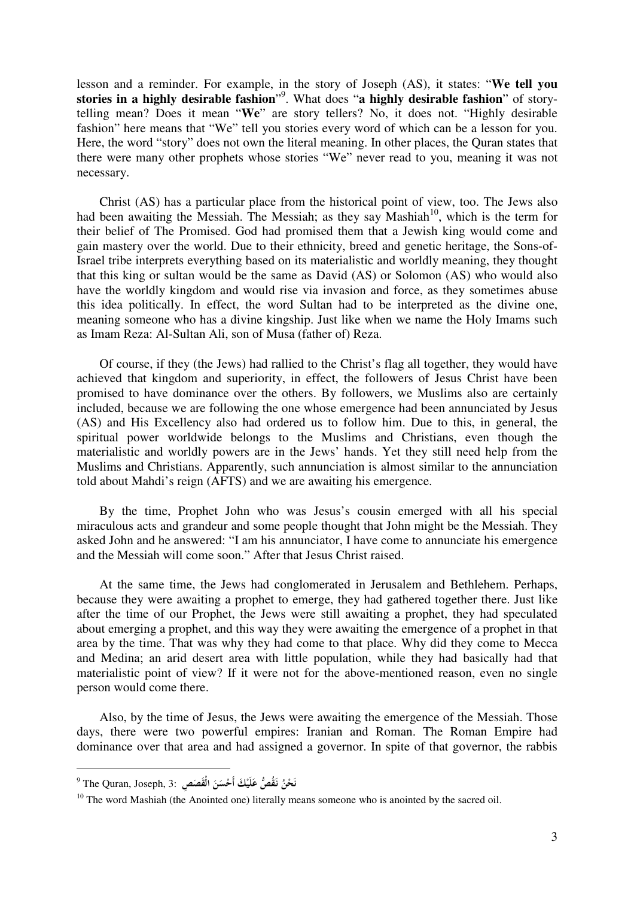lesson and a reminder. For example, in the story of Joseph (AS), it states: "**We tell you stories in a highly desirable fashion**" 9 . What does "**a highly desirable fashion**" of storytelling mean? Does it mean "**We**" are story tellers? No, it does not. "Highly desirable fashion" here means that "We" tell you stories every word of which can be a lesson for you. Here, the word "story" does not own the literal meaning. In other places, the Quran states that there were many other prophets whose stories "We" never read to you, meaning it was not necessary.

Christ (AS) has a particular place from the historical point of view, too. The Jews also had been awaiting the Messiah. The Messiah: as they say Mashiah<sup>10</sup>, which is the term for their belief of The Promised. God had promised them that a Jewish king would come and gain mastery over the world. Due to their ethnicity, breed and genetic heritage, the Sons-of-Israel tribe interprets everything based on its materialistic and worldly meaning, they thought that this king or sultan would be the same as David (AS) or Solomon (AS) who would also have the worldly kingdom and would rise via invasion and force, as they sometimes abuse this idea politically. In effect, the word Sultan had to be interpreted as the divine one, meaning someone who has a divine kingship. Just like when we name the Holy Imams such as Imam Reza: Al-Sultan Ali, son of Musa (father of) Reza.

Of course, if they (the Jews) had rallied to the Christ's flag all together, they would have achieved that kingdom and superiority, in effect, the followers of Jesus Christ have been promised to have dominance over the others. By followers, we Muslims also are certainly included, because we are following the one whose emergence had been annunciated by Jesus (AS) and His Excellency also had ordered us to follow him. Due to this, in general, the spiritual power worldwide belongs to the Muslims and Christians, even though the materialistic and worldly powers are in the Jews' hands. Yet they still need help from the Muslims and Christians. Apparently, such annunciation is almost similar to the annunciation told about Mahdi's reign (AFTS) and we are awaiting his emergence.

By the time, Prophet John who was Jesus's cousin emerged with all his special miraculous acts and grandeur and some people thought that John might be the Messiah. They asked John and he answered: "I am his annunciator, I have come to annunciate his emergence and the Messiah will come soon." After that Jesus Christ raised.

At the same time, the Jews had conglomerated in Jerusalem and Bethlehem. Perhaps, because they were awaiting a prophet to emerge, they had gathered together there. Just like after the time of our Prophet, the Jews were still awaiting a prophet, they had speculated about emerging a prophet, and this way they were awaiting the emergence of a prophet in that area by the time. That was why they had come to that place. Why did they come to Mecca and Medina; an arid desert area with little population, while they had basically had that materialistic point of view? If it were not for the above-mentioned reason, even no single person would come there.

Also, by the time of Jesus, the Jews were awaiting the emergence of the Messiah. Those days, there were two powerful empires: Iranian and Roman. The Roman Empire had dominance over that area and had assigned a governor. In spite of that governor, the rabbis

<sup>9</sup> The Quran, Joseph, 3: **ُ ُق ص َ ْحن َ ن ْ َك نـ لَي ع ن َص أَح ِص ْس َ الْق َ َ َ**

<sup>&</sup>lt;sup>10</sup> The word Mashiah (the Anointed one) literally means someone who is anointed by the sacred oil.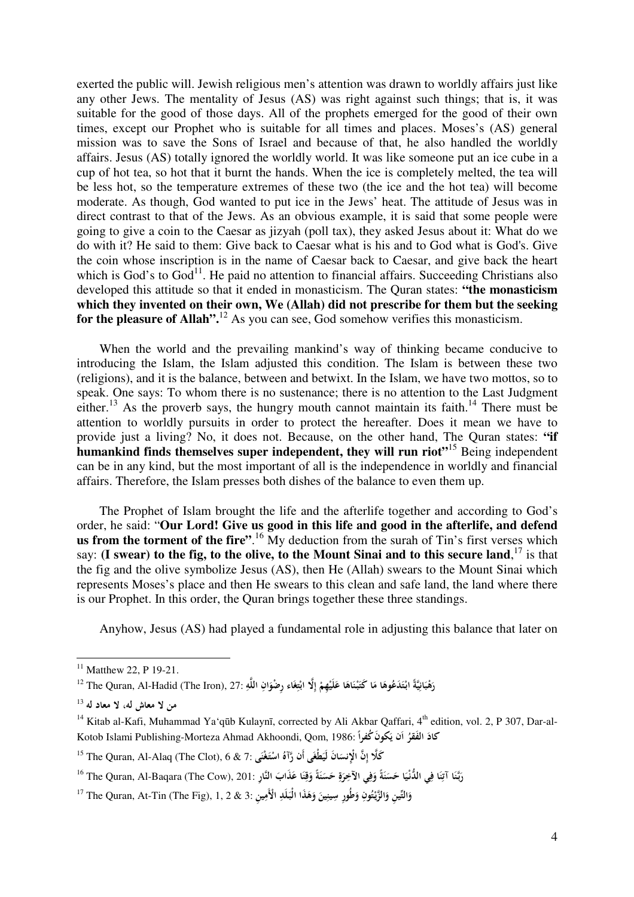exerted the public will. Jewish religious men's attention was drawn to worldly affairs just like any other Jews. The mentality of Jesus (AS) was right against such things; that is, it was suitable for the good of those days. All of the prophets emerged for the good of their own times, except our Prophet who is suitable for all times and places. Moses's (AS) general mission was to save the Sons of Israel and because of that, he also handled the worldly affairs. Jesus (AS) totally ignored the worldly world. It was like someone put an ice cube in a cup of hot tea, so hot that it burnt the hands. When the ice is completely melted, the tea will be less hot, so the temperature extremes of these two (the ice and the hot tea) will become moderate. As though, God wanted to put ice in the Jews' heat. The attitude of Jesus was in direct contrast to that of the Jews. As an obvious example, it is said that some people were going to give a coin to the Caesar as jizyah (poll tax), they asked Jesus about it: What do we do with it? He said to them: Give back to Caesar what is his and to God what is God's. Give the coin whose inscription is in the name of Caesar back to Caesar, and give back the heart which is God's to  $God<sup>11</sup>$ . He paid no attention to financial affairs. Succeeding Christians also developed this attitude so that it ended in monasticism. The Quran states: **"the monasticism which they invented on their own, We (Allah) did not prescribe for them but the seeking for the pleasure of Allah".**<sup>12</sup> As you can see, God somehow verifies this monasticism.

When the world and the prevailing mankind's way of thinking became conducive to introducing the Islam, the Islam adjusted this condition. The Islam is between these two (religions), and it is the balance, between and betwixt. In the Islam, we have two mottos, so to speak. One says: To whom there is no sustenance; there is no attention to the Last Judgment either.<sup>13</sup> As the proverb says, the hungry mouth cannot maintain its faith.<sup>14</sup> There must be attention to worldly pursuits in order to protect the hereafter. Does it mean we have to provide just a living? No, it does not. Because, on the other hand, The Quran states: **"if humankind finds themselves super independent, they will run riot<sup>"15</sup> Being independent** can be in any kind, but the most important of all is the independence in worldly and financial affairs. Therefore, the Islam presses both dishes of the balance to even them up.

The Prophet of Islam brought the life and the afterlife together and according to God's order, he said: "**Our Lord! Give us good in this life and good in the afterlife, and defend**  us from the torment of the fire".<sup>16</sup> My deduction from the surah of Tin's first verses which say: (I swear) to the fig, to the olive, to the Mount Sinai and to this secure land, <sup>17</sup> is that the fig and the olive symbolize Jesus (AS), then He (Allah) swears to the Mount Sinai which represents Moses's place and then He swears to this clean and safe land, the land where there is our Prophet. In this order, the Quran brings together these three standings.

Anyhow, Jesus (AS) had played a fundamental role in adjusting this balance that later on

 $11$  Matthew 22, P 19-21.

رَهْبَانِيَّةً ابْتَدَعُوهَا مَا كَتَبْنَاهَا عَلَيْهِمْ إِلَّا ابْتِغَاء رِضْوَانِ اللَّهِ :27. The Quran, Al-Hadid (The Iron), 27 ° **ِ َ ْ َ ْ َ َ َ ْ ْ ْ َ َ ِ ْ َ ِ**

**من لا معاش له، لا معاد له** <sup>13</sup>

<sup>&</sup>lt;sup>14</sup> Kitab al-Kafi, Muhammad Ya'qūb Kulaynī, corrected by Ali Akbar Qaffari, 4<sup>th</sup> edition, vol. 2, P 307, Dar-al-Kotob Islami Publishing-Morteza Ahmad Akhoondi, Qom, 1986: **ً َ کون ُ کفرا َن ي ا ُ َ َ الفقر کاد َ**

كَلَّا إِنَّ الْإِنسَانَ لَيَطْغَى أَن رَّآهُ اسْتَغْنَى :7 & The Quran, Al-Alaq (The Clot), 6 ^ اسْتَغْنَى :7 **َ ْ َ**

رَبَّنَا آتِنَا فِي الدُّنْيَا حَسَنَةً وَفِي الآخِرَةِ حَسَنَةً وَقِنَا عَذَابَ النَّارِ :16 The Quran, Al-Baqara (The Cow), 201 **َ َ َ ِ ِ َ َ ِ َ ِ َ َ َ ِ َ َ**

وَالتِّينِ وَالزَّيْتُونِ وَطُورٍ سِينِينَ وَهَذَا الْبَلَدِ الْأَمِينِ :3 & The Quran, At-Tin (The Fig), 1, 2 **َ َ َ َ َ َ ْ َ**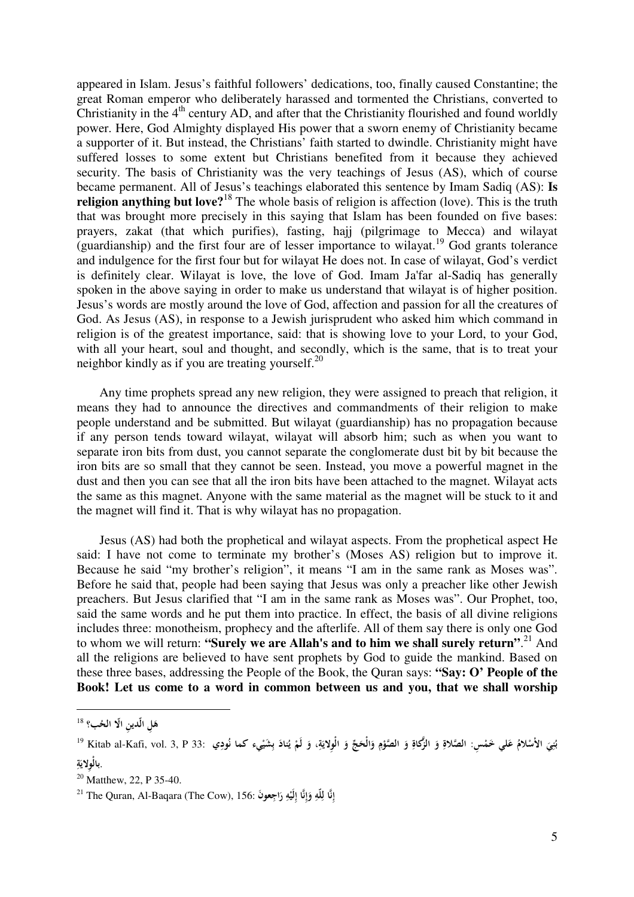appeared in Islam. Jesus's faithful followers' dedications, too, finally caused Constantine; the great Roman emperor who deliberately harassed and tormented the Christians, converted to Christianity in the  $4<sup>th</sup>$  century AD, and after that the Christianity flourished and found worldly power. Here, God Almighty displayed His power that a sworn enemy of Christianity became a supporter of it. But instead, the Christians' faith started to dwindle. Christianity might have suffered losses to some extent but Christians benefited from it because they achieved security. The basis of Christianity was the very teachings of Jesus (AS), which of course became permanent. All of Jesus's teachings elaborated this sentence by Imam Sadiq (AS): **Is religion anything but love?**<sup>18</sup> The whole basis of religion is affection (love). This is the truth that was brought more precisely in this saying that Islam has been founded on five bases: prayers, zakat (that which purifies), fasting, hajj (pilgrimage to Mecca) and wilayat  $(guardianship)$  and the first four are of lesser importance to wilayat.<sup>19</sup> God grants tolerance and indulgence for the first four but for wilayat He does not. In case of wilayat, God's verdict is definitely clear. Wilayat is love, the love of God. Imam Ja'far al-Sadiq has generally spoken in the above saying in order to make us understand that wilayat is of higher position. Jesus's words are mostly around the love of God, affection and passion for all the creatures of God. As Jesus (AS), in response to a Jewish jurisprudent who asked him which command in religion is of the greatest importance, said: that is showing love to your Lord, to your God, with all your heart, soul and thought, and secondly, which is the same, that is to treat your neighbor kindly as if you are treating yourself.<sup>20</sup>

Any time prophets spread any new religion, they were assigned to preach that religion, it means they had to announce the directives and commandments of their religion to make people understand and be submitted. But wilayat (guardianship) has no propagation because if any person tends toward wilayat, wilayat will absorb him; such as when you want to separate iron bits from dust, you cannot separate the conglomerate dust bit by bit because the iron bits are so small that they cannot be seen. Instead, you move a powerful magnet in the dust and then you can see that all the iron bits have been attached to the magnet. Wilayat acts the same as this magnet. Anyone with the same material as the magnet will be stuck to it and the magnet will find it. That is why wilayat has no propagation.

Jesus (AS) had both the prophetical and wilayat aspects. From the prophetical aspect He said: I have not come to terminate my brother's (Moses AS) religion but to improve it. Because he said "my brother's religion", it means "I am in the same rank as Moses was". Before he said that, people had been saying that Jesus was only a preacher like other Jewish preachers. But Jesus clarified that "I am in the same rank as Moses was". Our Prophet, too, said the same words and he put them into practice. In effect, the basis of all divine religions includes three: monotheism, prophecy and the afterlife. All of them say there is only one God to whom we will return: "Surely we are Allah's and to him we shall surely return".<sup>21</sup> And all the religions are believed to have sent prophets by God to guide the mankind. Based on these three bases, addressing the People of the Book, the Quran says: **"Say: O' People of the Book! Let us come to a word in common between us and you, that we shall worship** 

هَلِ ال**ّدي**نِ ال**ّا الحُب؟ <sup>18</sup> َ**

بُنِيَ الأسْلامُ عَلي خَمْسِ: الصَّلاةِ وَ الزَّكاةِ وَ الصَّوْمِ وَالْحَجِّ وَ الْوِلايَةِ، وَ لَمْ يُنادَ بِشَيْيء كما نُودِي :3, P 33 السَّلامُ عَلي خَمْسِ: الصَّلاةِ وَ الزَّكاةِ وَ الصَّوْمِ وَالْحَجِّ وَ الْوِلايَة **َ ِ ْ َ ِ َ ِ ْ َ َ َ ِ يا َ ْ َ ْ ن اب ة** . **ِ لْولاي ِ با** 

 $20 \text{ M}$ atthew, 22, P 35-40.

<sup>21</sup> The Quran, Al-Baqara (The Cow), 156: **ان إ لّه ا ل ن و ه لَي َ عون ِ إ اجِ رِ ِ ِ ِ إ َ ِ ْ َ**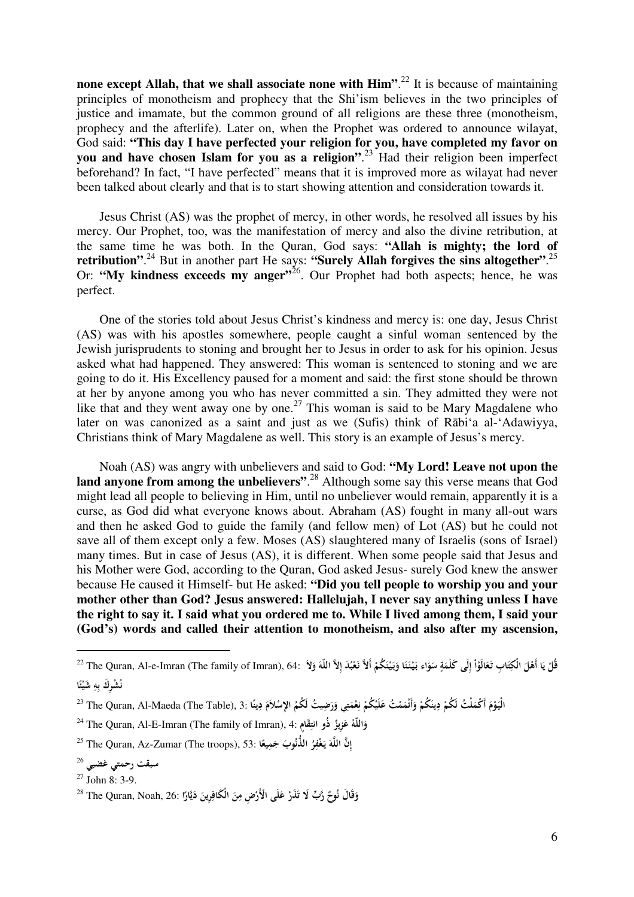**none except Allah, that we shall associate none with Him".<sup>22</sup> It is because of maintaining** principles of monotheism and prophecy that the Shi'ism believes in the two principles of justice and imamate, but the common ground of all religions are these three (monotheism, prophecy and the afterlife). Later on, when the Prophet was ordered to announce wilayat, God said: **"This day I have perfected your religion for you, have completed my favor on you and have chosen Islam for you as a religion"**. <sup>23</sup> Had their religion been imperfect beforehand? In fact, "I have perfected" means that it is improved more as wilayat had never been talked about clearly and that is to start showing attention and consideration towards it.

Jesus Christ (AS) was the prophet of mercy, in other words, he resolved all issues by his mercy. Our Prophet, too, was the manifestation of mercy and also the divine retribution, at the same time he was both. In the Quran, God says: **"Allah is mighty; the lord of**  retribution".<sup>24</sup> But in another part He says: "Surely Allah forgives the sins altogether".<sup>25</sup> Or: **"My kindness exceeds my anger"**<sup>26</sup>. Our Prophet had both aspects; hence, he was perfect.

One of the stories told about Jesus Christ's kindness and mercy is: one day, Jesus Christ (AS) was with his apostles somewhere, people caught a sinful woman sentenced by the Jewish jurisprudents to stoning and brought her to Jesus in order to ask for his opinion. Jesus asked what had happened. They answered: This woman is sentenced to stoning and we are going to do it. His Excellency paused for a moment and said: the first stone should be thrown at her by anyone among you who has never committed a sin. They admitted they were not like that and they went away one by one.<sup>27</sup> This woman is said to be Mary Magdalene who later on was canonized as a saint and just as we (Sufis) think of Rābiʻa al-ʻAdawiyya, Christians think of Mary Magdalene as well. This story is an example of Jesus's mercy.

Noah (AS) was angry with unbelievers and said to God: **"My Lord! Leave not upon the land anyone from among the unbelievers"**. <sup>28</sup> Although some say this verse means that God might lead all people to believing in Him, until no unbeliever would remain, apparently it is a curse, as God did what everyone knows about. Abraham (AS) fought in many all-out wars and then he asked God to guide the family (and fellow men) of Lot (AS) but he could not save all of them except only a few. Moses (AS) slaughtered many of Israelis (sons of Israel) many times. But in case of Jesus (AS), it is different. When some people said that Jesus and his Mother were God, according to the Quran, God asked Jesus- surely God knew the answer because He caused it Himself- but He asked: **"Did you tell people to worship you and your mother other than God? Jesus answered: Hallelujah, I never say anything unless I have the right to say it. I said what you ordered me to. While I lived among them, I said your (God's) words and called their attention to monotheism, and also after my ascension,** 

قُلْ يَا أَهْلَ الْكِتَابِ تَعَالَوْاْ إِلَى كَلَمَةٍ سَوَاء بَيْنَنَا وَبَيْنَكُمْ أَلاَّ نَعْبُدَ إِلاَّ اللّهَ وَلاَ :64. The Quran, Al-e-Imran (The family of Imran), 64: فَلْ يَعْبَدَ اللّهَ وَلاَ يَجْبَنَا وَبَيْنَك **ْ ُ َ َ ا ْ َ ٍ َ َ َ َ َ ْ َ ْ ْ َ َ ْ ِ َ ُ ْشِرَك ن ه ا ب ئ َشي ِ ٍ ً ْ**

الْيَوْمَ أَكْمَلْتُ لَكُمْ دِينَكُمْ وَأَتْمَمْتُ عَلَيْكُمْ نِعْمَتِي وَرَضِيتُ لَكُمُ الإِسْلاَمَ دِينًا :3 The Quran, Al-Maeda (The Table), 3 ^ **َ ْ َ َ ْ ْ َ َ ْ ْ ِ َ ِ َ َ َ ً**

<sup>24</sup> The Quran, Al-E-Imran (The family of Imran), 4: **ُ اللّه و ٌ ِزيز و ع ذُ َق ٍام انت َ َ ِ**

<sup>25</sup> The Quran, Az-Zumar (The troops), 53: **ن ِ إ ه الل ُ ر غْف َوب يـ ُ ا الذن َمِيع ج َ ِ َ ً**

**سبقت رحمتي غضبي** <sup>26</sup>

 $27$  John 8: 3-9.

وَقَالَ نُوحٌ رَّبٍّ لَا تَذَرْ عَلَى الْأَرْضِ مِنَ الْكَافِرِينَ دَيَّارًا :<sup>28</sup> The Quran, Noah, 26 **َ ْ ْ َ ِ َ ِ ً َ**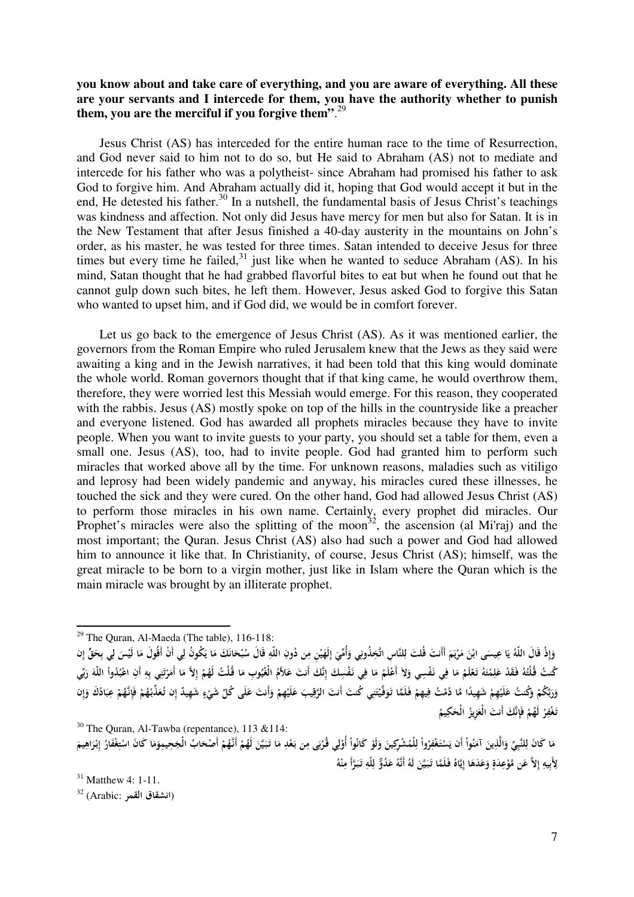## **you know about and take care of everything, and you are aware of everything. All these are your servants and I intercede for them, you have the authority whether to punish them, you are the merciful if you forgive them"**. 29

Jesus Christ (AS) has interceded for the entire human race to the time of Resurrection, and God never said to him not to do so, but He said to Abraham (AS) not to mediate and intercede for his father who was a polytheist- since Abraham had promised his father to ask God to forgive him. And Abraham actually did it, hoping that God would accept it but in the end, He detested his father.<sup>30</sup> In a nutshell, the fundamental basis of Jesus Christ's teachings was kindness and affection. Not only did Jesus have mercy for men but also for Satan. It is in the New Testament that after Jesus finished a 40-day austerity in the mountains on John's order, as his master, he was tested for three times. Satan intended to deceive Jesus for three times but every time he failed, $31$  just like when he wanted to seduce Abraham (AS). In his mind, Satan thought that he had grabbed flavorful bites to eat but when he found out that he cannot gulp down such bites, he left them. However, Jesus asked God to forgive this Satan who wanted to upset him, and if God did, we would be in comfort forever.

Let us go back to the emergence of Jesus Christ (AS). As it was mentioned earlier, the governors from the Roman Empire who ruled Jerusalem knew that the Jews as they said were awaiting a king and in the Jewish narratives, it had been told that this king would dominate the whole world. Roman governors thought that if that king came, he would overthrow them, therefore, they were worried lest this Messiah would emerge. For this reason, they cooperated with the rabbis. Jesus (AS) mostly spoke on top of the hills in the countryside like a preacher and everyone listened. God has awarded all prophets miracles because they have to invite people. When you want to invite guests to your party, you should set a table for them, even a small one. Jesus (AS), too, had to invite people. God had granted him to perform such miracles that worked above all by the time. For unknown reasons, maladies such as vitiligo and leprosy had been widely pandemic and anyway, his miracles cured these illnesses, he touched the sick and they were cured. On the other hand, God had allowed Jesus Christ (AS) to perform those miracles in his own name. Certainly, every prophet did miracles. Our Prophet's miracles were also the splitting of the moon<sup>32</sup>, the ascension (al Mi'raj) and the most important; the Quran. Jesus Christ (AS) also had such a power and God had allowed him to announce it like that. In Christianity, of course, Jesus Christ (AS); himself, was the great miracle to be born to a virgin mother, just like in Islam where the Quran which is the main miracle was brought by an illiterate prophet.

 $30$  The Ouran, Al-Tawba (repentance), 113 & 114:

وَإِذْ قَالَ اللَّهُ يَا عِيسَى ابْنَ مَرْيَمَ أَأَنتَ قُلتَ لِلنَّاسِ اتَّخِذُونِي وَأُمِّيَ إِلَهَيْنِ مِن دُونِ اللَّهِ قَالَ سُبْحَانَكَ مَا يَكُونُ لِي أَنْ أَقُولَ مَا لَيْسَ لِي بِحَقٍّ إِن **ِ إ َ ٔ َ ِ َ َ ي ْ َ ٍ َ َ ْ َ ِ َ َ َ َ ِ َ** كُنتُ قُلْتُهُ فَقَدْ عَلِمْتَهُ تَعْلَمُ مَا فِي نَفْسِي وَلاَ أَعْلَمُ مَا فِي نَفْسِكَ إِنَّكَ أَنتَ عَلاَمُ الْغُيُوبِ مَا قُلْتُ لَهُمْ إِلاَّ مَا أَمَرْتَنِي بِهِ أَنِ اعْبُدُواْ اللَّهَ رَبِّي **َ ْ ِ َ ْ ِ ِ َ َ ْ ِ َ ِ ُ ت ْ َ ِ ِ ْ ْ َ ْ** وَرَبَّكُمْ وَكُنتُ عَلَيْهِمْ شَهِيدًا مَّا دُمْتُ فِيهِمْ فَلَمَّا تَوَفَّيْتَنِي كُنتَ أَنتَ الرَّقِيبَ عَلَيْهِمْ وَأَنتَ عَلَى كُلِّ شَيْءٍ شَهِيدٌ إِن تُعَذِّبْهُمْ فَإِنَّهُمْ عِبَادُكَ وَإِن **َ َ َ ْ ْ َ ً ْ ِ َ ْ َ َ ِ ْ ْ َ َ ٍ ْ ِ ْ ْ َ َ ْ** تَغْفِرْ لَهُمْ فَإِنَّكَ أَنتَ الْعَزِيزُ الْحَكِيمُ **ِ ْ ِ َ َ**

 $31$  Matthew 4: 1-11. (**انشقاق القمر** :Arabic (<sup>32</sup>

 $\overline{a}$ 

 $29$  The Ouran, Al-Maeda (The table), 116-118:

مَا كَانَ لِلنَّبِيِّ وَالَّذِينَ آمَنُواْ أَن يَسْتَغْفِرُواْ لِلْمُشْرِكِينَ وَلَوْ كَانُواْ أُوْلِي قُرْبَى مِن بَعْدِ مَا تَبَيَّنَ لَهُمْ أَنَّهُمْ أَصْحَابُ الْجَحِمِمِوَمَا كَانَ اسْتِغْفَارُ إِبْرَاهِيمَ **َ ِ ل َ َ ْ َ ْ ِ َ ْ ي َ ِ ْ َ ْ ِ ل ْ َ ب ْ ِ َ َ َ َ َ ْ ْ ْ َ َ ِ ْ َ ِ َ إ ِ** لِأَبِيهِ إِلاَّ عَن مَّوْعِدَةٍ وَعَدَهَا إِيَّاهُ فَلَمَّا تَبَيَّنَ لَهُ أَنَّهُ عَدُوٌّ لِلّهِ تَبَرَّأَ مِنْهُ **ِ َ ٍ َ َ ِ َ َ َ ِ ِ َ َ ِ**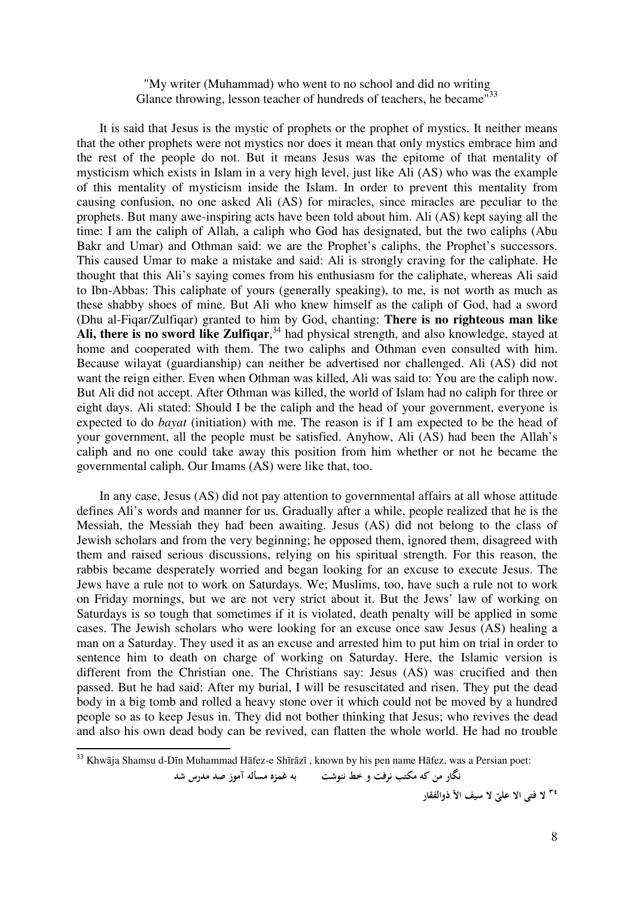## "My writer (Muhammad) who went to no school and did no writing Glance throwing, lesson teacher of hundreds of teachers, he became<sup>733</sup>

It is said that Jesus is the mystic of prophets or the prophet of mystics. It neither means that the other prophets were not mystics nor does it mean that only mystics embrace him and the rest of the people do not. But it means Jesus was the epitome of that mentality of mysticism which exists in Islam in a very high level, just like Ali (AS) who was the example of this mentality of mysticism inside the Islam. In order to prevent this mentality from causing confusion, no one asked Ali (AS) for miracles, since miracles are peculiar to the prophets. But many awe-inspiring acts have been told about him. Ali (AS) kept saying all the time: I am the caliph of Allah, a caliph who God has designated, but the two caliphs (Abu Bakr and Umar) and Othman said: we are the Prophet's caliphs, the Prophet's successors. This caused Umar to make a mistake and said: Ali is strongly craving for the caliphate. He thought that this Ali's saying comes from his enthusiasm for the caliphate, whereas Ali said to Ibn-Abbas: This caliphate of yours (generally speaking), to me, is not worth as much as these shabby shoes of mine. But Ali who knew himself as the caliph of God, had a sword (Dhu al-Fiqar/Zulfiqar) granted to him by God, chanting: **There is no righteous man like**  Ali, there is no sword like Zulfiqar,<sup>34</sup> had physical strength, and also knowledge, stayed at home and cooperated with them. The two caliphs and Othman even consulted with him. Because wilayat (guardianship) can neither be advertised nor challenged. Ali (AS) did not want the reign either. Even when Othman was killed, Ali was said to: You are the caliph now. But Ali did not accept. After Othman was killed, the world of Islam had no caliph for three or eight days. Ali stated: Should I be the caliph and the head of your government, everyone is expected to do *bayat* (initiation) with me. The reason is if I am expected to be the head of your government, all the people must be satisfied. Anyhow, Ali (AS) had been the Allah's caliph and no one could take away this position from him whether or not he became the governmental caliph. Our Imams (AS) were like that, too.

In any case, Jesus (AS) did not pay attention to governmental affairs at all whose attitude defines Ali's words and manner for us. Gradually after a while, people realized that he is the Messiah, the Messiah they had been awaiting. Jesus (AS) did not belong to the class of Jewish scholars and from the very beginning; he opposed them, ignored them, disagreed with them and raised serious discussions, relying on his spiritual strength. For this reason, the rabbis became desperately worried and began looking for an excuse to execute Jesus. The Jews have a rule not to work on Saturdays. We; Muslims, too, have such a rule not to work on Friday mornings, but we are not very strict about it. But the Jews' law of working on Saturdays is so tough that sometimes if it is violated, death penalty will be applied in some cases. The Jewish scholars who were looking for an excuse once saw Jesus (AS) healing a man on a Saturday. They used it as an excuse and arrested him to put him on trial in order to sentence him to death on charge of working on Saturday. Here, the Islamic version is different from the Christian one. The Christians say: Jesus (AS) was crucified and then passed. But he had said: After my burial, I will be resuscitated and risen. They put the dead body in a big tomb and rolled a heavy stone over it which could not be moved by a hundred people so as to keep Jesus in. They did not bother thinking that Jesus; who revives the dead and also his own dead body can be revived, can flatten the whole world. He had no trouble

l

 **كه من نگار مكتب نرفت خط و ننوشت به غمزه مسأله صد آموز مدرس شد** 

 **الا فتی لا <sup>٣٤</sup> ّ لا علی سيف الاّ ذوالفقار**

<sup>33</sup> Khwāja Shamsu d-Dīn Muhammad Hāfez-e Shīrāzī , known by his pen name Hāfez, was a Persian poet: